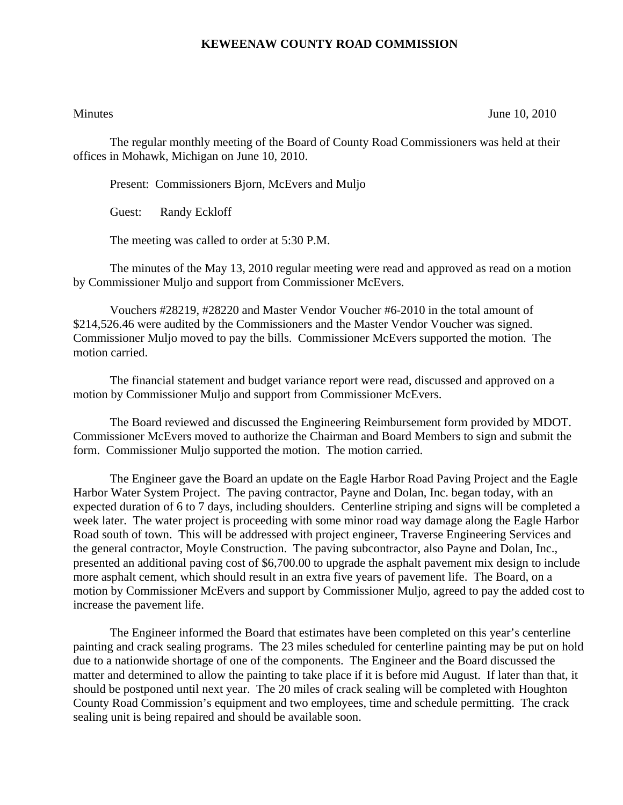## **KEWEENAW COUNTY ROAD COMMISSION**

Minutes June 10, 2010

The regular monthly meeting of the Board of County Road Commissioners was held at their offices in Mohawk, Michigan on June 10, 2010.

Present: Commissioners Bjorn, McEvers and Muljo

Guest: Randy Eckloff

The meeting was called to order at 5:30 P.M.

 The minutes of the May 13, 2010 regular meeting were read and approved as read on a motion by Commissioner Muljo and support from Commissioner McEvers.

 Vouchers #28219, #28220 and Master Vendor Voucher #6-2010 in the total amount of \$214,526.46 were audited by the Commissioners and the Master Vendor Voucher was signed. Commissioner Muljo moved to pay the bills. Commissioner McEvers supported the motion. The motion carried.

 The financial statement and budget variance report were read, discussed and approved on a motion by Commissioner Muljo and support from Commissioner McEvers.

 The Board reviewed and discussed the Engineering Reimbursement form provided by MDOT. Commissioner McEvers moved to authorize the Chairman and Board Members to sign and submit the form. Commissioner Muljo supported the motion. The motion carried.

 The Engineer gave the Board an update on the Eagle Harbor Road Paving Project and the Eagle Harbor Water System Project. The paving contractor, Payne and Dolan, Inc. began today, with an expected duration of 6 to 7 days, including shoulders. Centerline striping and signs will be completed a week later. The water project is proceeding with some minor road way damage along the Eagle Harbor Road south of town. This will be addressed with project engineer, Traverse Engineering Services and the general contractor, Moyle Construction. The paving subcontractor, also Payne and Dolan, Inc., presented an additional paving cost of \$6,700.00 to upgrade the asphalt pavement mix design to include more asphalt cement, which should result in an extra five years of pavement life. The Board, on a motion by Commissioner McEvers and support by Commissioner Muljo, agreed to pay the added cost to increase the pavement life.

 The Engineer informed the Board that estimates have been completed on this year's centerline painting and crack sealing programs. The 23 miles scheduled for centerline painting may be put on hold due to a nationwide shortage of one of the components. The Engineer and the Board discussed the matter and determined to allow the painting to take place if it is before mid August. If later than that, it should be postponed until next year. The 20 miles of crack sealing will be completed with Houghton County Road Commission's equipment and two employees, time and schedule permitting. The crack sealing unit is being repaired and should be available soon.